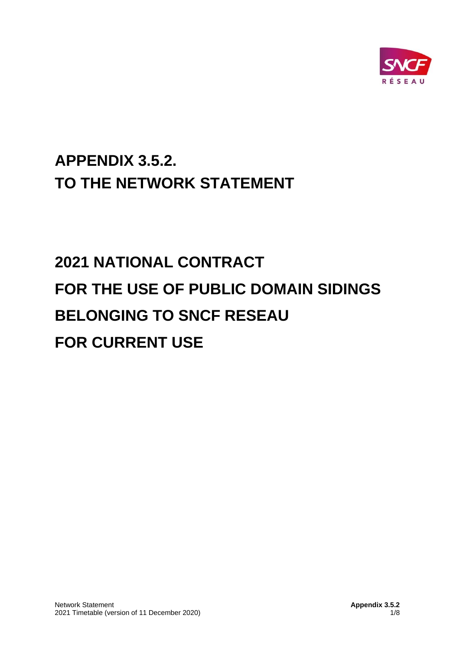

# **APPENDIX 3.5.2. TO THE NETWORK STATEMENT**

# **2021 NATIONAL CONTRACT FOR THE USE OF PUBLIC DOMAIN SIDINGS BELONGING TO SNCF RESEAU FOR CURRENT USE**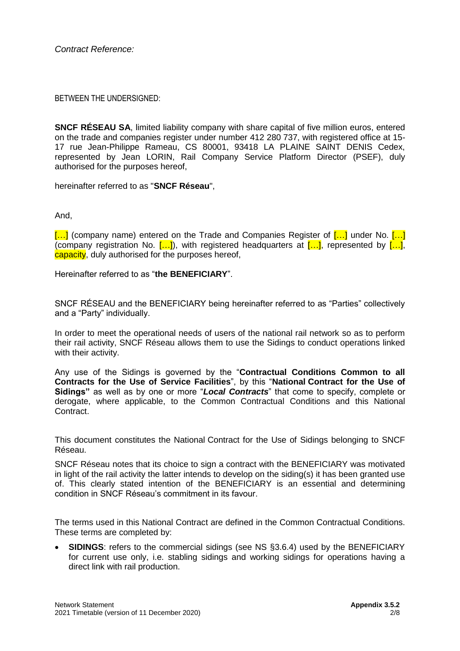BETWEEN THE UNDERSIGNED:

**SNCF RÉSEAU SA**, limited liability company with share capital of five million euros, entered on the trade and companies register under number 412 280 737, with registered office at 15- 17 rue Jean-Philippe Rameau, CS 80001, 93418 LA PLAINE SAINT DENIS Cedex, represented by Jean LORIN, Rail Company Service Platform Director (PSEF), duly authorised for the purposes hereof,

hereinafter referred to as "**SNCF Réseau**",

And,

 $\left[\ldots\right]$  (company name) entered on the Trade and Companies Register of  $\left[\ldots\right]$  under No.  $\left[\ldots\right]$ (company registration No.  $[...]$ ), with registered headquarters at  $[...]$ , represented by  $[...]$ , capacity, duly authorised for the purposes hereof,

Hereinafter referred to as "**the BENEFICIARY**".

SNCF RÉSEAU and the BENEFICIARY being hereinafter referred to as "Parties" collectively and a "Party" individually.

In order to meet the operational needs of users of the national rail network so as to perform their rail activity, SNCF Réseau allows them to use the Sidings to conduct operations linked with their activity.

Any use of the Sidings is governed by the "**Contractual Conditions Common to all Contracts for the Use of Service Facilities**", by this "**National Contract for the Use of Sidings"** as well as by one or more "*Local Contracts*" that come to specify, complete or derogate, where applicable, to the Common Contractual Conditions and this National Contract.

This document constitutes the National Contract for the Use of Sidings belonging to SNCF Réseau.

SNCF Réseau notes that its choice to sign a contract with the BENEFICIARY was motivated in light of the rail activity the latter intends to develop on the siding(s) it has been granted use of. This clearly stated intention of the BENEFICIARY is an essential and determining condition in SNCF Réseau's commitment in its favour.

The terms used in this National Contract are defined in the Common Contractual Conditions. These terms are completed by:

• **SIDINGS**: refers to the commercial sidings (see NS §3.6.4) used by the BENEFICIARY for current use only, i.e. stabling sidings and working sidings for operations having a direct link with rail production.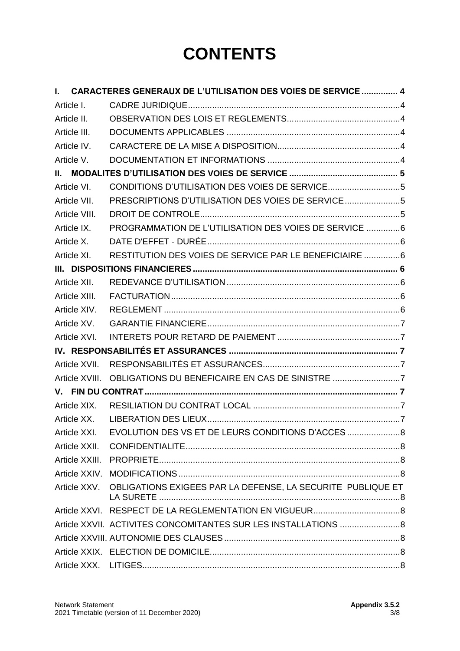# **CONTENTS**

| $\mathbf{L}$   | <b>CARACTERES GENERAUX DE L'UTILISATION DES VOIES DE SERVICE  4</b> |  |
|----------------|---------------------------------------------------------------------|--|
| Article I.     |                                                                     |  |
| Article II.    |                                                                     |  |
| Article III.   |                                                                     |  |
| Article IV.    |                                                                     |  |
| Article V.     |                                                                     |  |
|                |                                                                     |  |
| Article VI.    |                                                                     |  |
| Article VII.   | PRESCRIPTIONS D'UTILISATION DES VOIES DE SERVICE5                   |  |
| Article VIII.  |                                                                     |  |
| Article IX.    | PROGRAMMATION DE L'UTILISATION DES VOIES DE SERVICE 6               |  |
| Article X.     |                                                                     |  |
| Article XI.    | RESTITUTION DES VOIES DE SERVICE PAR LE BENEFICIAIRE 6              |  |
|                |                                                                     |  |
| Article XII.   |                                                                     |  |
| Article XIII.  |                                                                     |  |
| Article XIV.   |                                                                     |  |
| Article XV.    |                                                                     |  |
| Article XVI.   |                                                                     |  |
|                |                                                                     |  |
| Article XVII.  |                                                                     |  |
| Article XVIII. | OBLIGATIONS DU BENEFICAIRE EN CAS DE SINISTRE 7                     |  |
|                |                                                                     |  |
| Article XIX.   |                                                                     |  |
| Article XX.    |                                                                     |  |
| Article XXI.   | EVOLUTION DES VS ET DE LEURS CONDITIONS D'ACCES                     |  |
| Article XXII.  |                                                                     |  |
| Article XXIII. |                                                                     |  |
| Article XXIV.  |                                                                     |  |
| Article XXV.   | OBLIGATIONS EXIGEES PAR LA DEFENSE, LA SECURITE PUBLIQUE ET         |  |
|                |                                                                     |  |
|                | Article XXVII. ACTIVITES CONCOMITANTES SUR LES INSTALLATIONS 8      |  |
|                |                                                                     |  |
|                |                                                                     |  |
|                |                                                                     |  |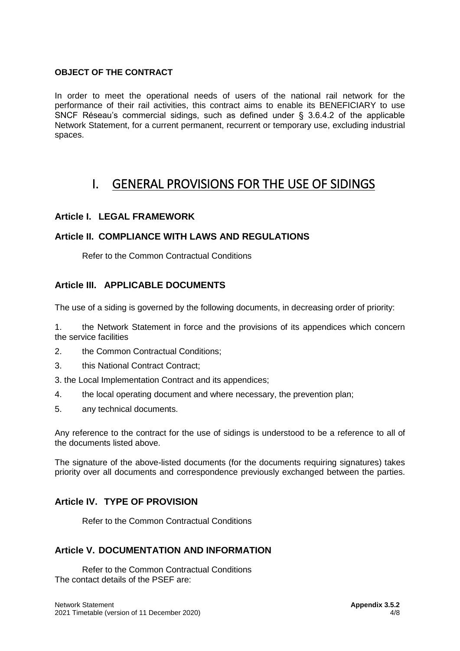#### **OBJECT OF THE CONTRACT**

In order to meet the operational needs of users of the national rail network for the performance of their rail activities, this contract aims to enable its BENEFICIARY to use SNCF Réseau's commercial sidings, such as defined under § 3.6.4.2 of the applicable Network Statement, for a current permanent, recurrent or temporary use, excluding industrial spaces.

# <span id="page-3-0"></span>I. GENERAL PROVISIONS FOR THE USE OF SIDINGS

#### <span id="page-3-1"></span>**Article I. LEGAL FRAMEWORK**

#### <span id="page-3-2"></span>**Article II. COMPLIANCE WITH LAWS AND REGULATIONS**

Refer to the Common Contractual Conditions

#### <span id="page-3-3"></span>**Article III. APPLICABLE DOCUMENTS**

The use of a siding is governed by the following documents, in decreasing order of priority:

1. the Network Statement in force and the provisions of its appendices which concern the service facilities

- 2. the Common Contractual Conditions;
- 3. this National Contract Contract;

3. the Local Implementation Contract and its appendices;

- 4. the local operating document and where necessary, the prevention plan;
- 5. any technical documents.

Any reference to the contract for the use of sidings is understood to be a reference to all of the documents listed above.

The signature of the above-listed documents (for the documents requiring signatures) takes priority over all documents and correspondence previously exchanged between the parties.

#### <span id="page-3-4"></span>**Article IV. TYPE OF PROVISION**

Refer to the Common Contractual Conditions

#### <span id="page-3-5"></span>**Article V. DOCUMENTATION AND INFORMATION**

Refer to the Common Contractual Conditions The contact details of the PSEF are: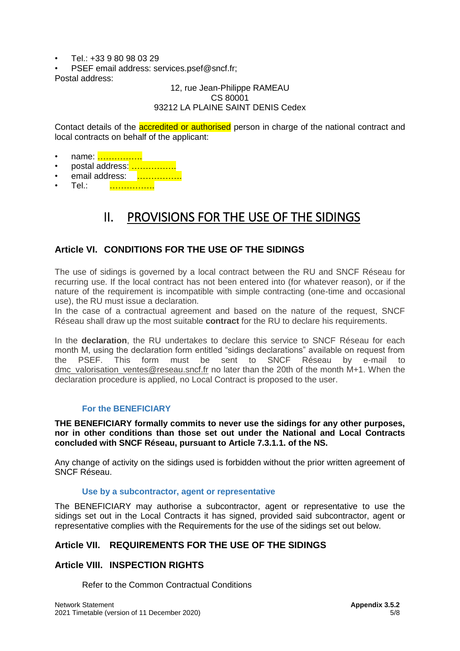- Tel:  $+33980980329$
- PSEF email address: services.psef@sncf.fr;

Postal address:

#### 12, rue Jean-Philippe RAMEAU CS 80001 93212 LA PLAINE SAINT DENIS Cedex

Contact details of the **accredited or authorised** person in charge of the national contract and local contracts on behalf of the applicant:

- name: …………….
- postal address: …………….
- email address: ..................
- <span id="page-4-0"></span>Tel.: <mark>…………….</mark>

# II. PROVISIONS FOR THE USE OF THE SIDINGS

## <span id="page-4-1"></span>**Article VI. CONDITIONS FOR THE USE OF THE SIDINGS**

The use of sidings is governed by a local contract between the RU and SNCF Réseau for recurring use. If the local contract has not been entered into (for whatever reason), or if the nature of the requirement is incompatible with simple contracting (one-time and occasional use), the RU must issue a declaration.

In the case of a contractual agreement and based on the nature of the request, SNCF Réseau shall draw up the most suitable **contract** for the RU to declare his requirements.

In the **declaration**, the RU undertakes to declare this service to SNCF Réseau for each month M, using the declaration form entitled "sidings declarations" available on request from<br>the PSEF. This form must be sent to SNCF Réseau by e-mail to the PSEF. This form must be sent to SNCF Réseau by e-mail to [dmc\\_valorisation\\_ventes@reseau.sncf.fr](mailto:dmc_valorisation_ventes@reseau.sncf.fr) no later than the 20th of the month M+1. When the declaration procedure is applied, no Local Contract is proposed to the user.

#### **For the BENEFICIARY**

**THE BENEFICIARY formally commits to never use the sidings for any other purposes, nor in other conditions than those set out under the National and Local Contracts concluded with SNCF Réseau, pursuant to Article 7.3.1.1. of the NS.**

Any change of activity on the sidings used is forbidden without the prior written agreement of SNCF Réseau.

#### **Use by a subcontractor, agent or representative**

The BENEFICIARY may authorise a subcontractor, agent or representative to use the sidings set out in the Local Contracts it has signed, provided said subcontractor, agent or representative complies with the Requirements for the use of the sidings set out below.

## <span id="page-4-2"></span>**Article VII. REQUIREMENTS FOR THE USE OF THE SIDINGS**

## <span id="page-4-3"></span>**Article VIII. INSPECTION RIGHTS**

Refer to the Common Contractual Conditions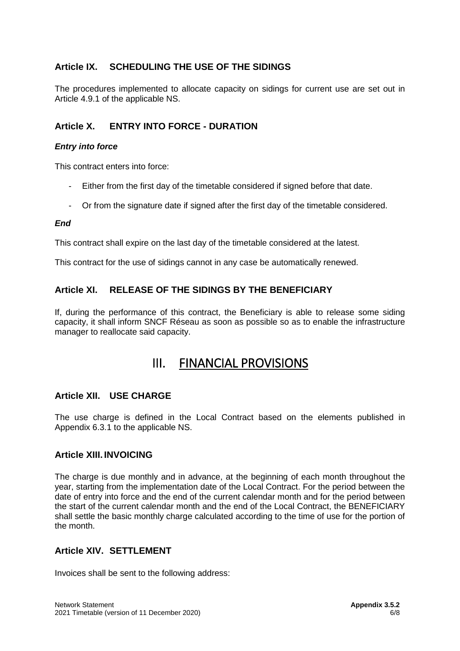## <span id="page-5-0"></span>**Article IX. SCHEDULING THE USE OF THE SIDINGS**

The procedures implemented to allocate capacity on sidings for current use are set out in Article 4.9.1 of the applicable NS.

# <span id="page-5-1"></span>**Article X. ENTRY INTO FORCE - DURATION**

#### *Entry into force*

This contract enters into force:

- Either from the first day of the timetable considered if signed before that date.
- Or from the signature date if signed after the first day of the timetable considered.

#### *End*

This contract shall expire on the last day of the timetable considered at the latest.

This contract for the use of sidings cannot in any case be automatically renewed.

## <span id="page-5-2"></span>**Article XI. RELEASE OF THE SIDINGS BY THE BENEFICIARY**

<span id="page-5-3"></span>If, during the performance of this contract, the Beneficiary is able to release some siding capacity, it shall inform SNCF Réseau as soon as possible so as to enable the infrastructure manager to reallocate said capacity.

# III. FINANCIAL PROVISIONS

## <span id="page-5-4"></span>**Article XII. USE CHARGE**

The use charge is defined in the Local Contract based on the elements published in Appendix 6.3.1 to the applicable NS.

#### <span id="page-5-5"></span>**Article XIII. INVOICING**

The charge is due monthly and in advance, at the beginning of each month throughout the year, starting from the implementation date of the Local Contract. For the period between the date of entry into force and the end of the current calendar month and for the period between the start of the current calendar month and the end of the Local Contract, the BENEFICIARY shall settle the basic monthly charge calculated according to the time of use for the portion of the month.

## <span id="page-5-6"></span>**Article XIV. SETTLEMENT**

Invoices shall be sent to the following address: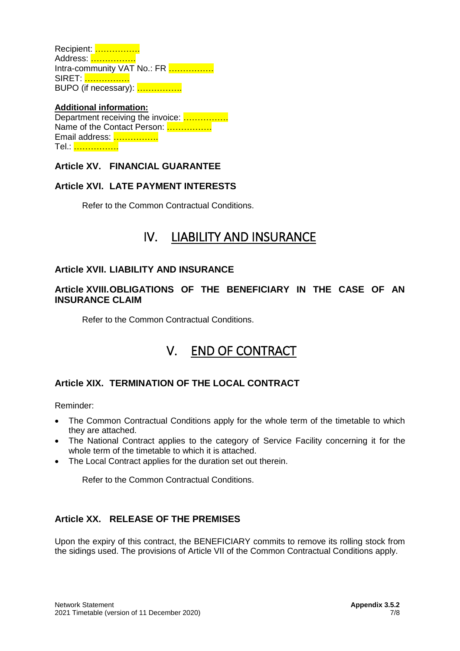Recipient: ……………. Address: ……………. Intra-community VAT No.: FR ................ SIRET: ……………. BUPO (if necessary): …………….

#### **Additional information:** Department receiving the invoice: ……………. Name of the Contact Person: ................ Email address: ……………. Tel.: …………….

## <span id="page-6-0"></span>**Article XV. FINANCIAL GUARANTEE**

# <span id="page-6-1"></span>**Article XVI. LATE PAYMENT INTERESTS**

<span id="page-6-2"></span>Refer to the Common Contractual Conditions.

# IV. LIABILITY AND INSURANCE

## <span id="page-6-3"></span>**Article XVII. LIABILITY AND INSURANCE**

#### <span id="page-6-4"></span>**Article XVIII.OBLIGATIONS OF THE BENEFICIARY IN THE CASE OF AN INSURANCE CLAIM**

<span id="page-6-5"></span>Refer to the Common Contractual Conditions.

# V. END OF CONTRACT

# <span id="page-6-6"></span>**Article XIX. TERMINATION OF THE LOCAL CONTRACT**

Reminder:

- The Common Contractual Conditions apply for the whole term of the timetable to which they are attached.
- The National Contract applies to the category of Service Facility concerning it for the whole term of the timetable to which it is attached.
- The Local Contract applies for the duration set out therein.

Refer to the Common Contractual Conditions.

## <span id="page-6-7"></span>**Article XX. RELEASE OF THE PREMISES**

Upon the expiry of this contract, the BENEFICIARY commits to remove its rolling stock from the sidings used. The provisions of Article VII of the Common Contractual Conditions apply.